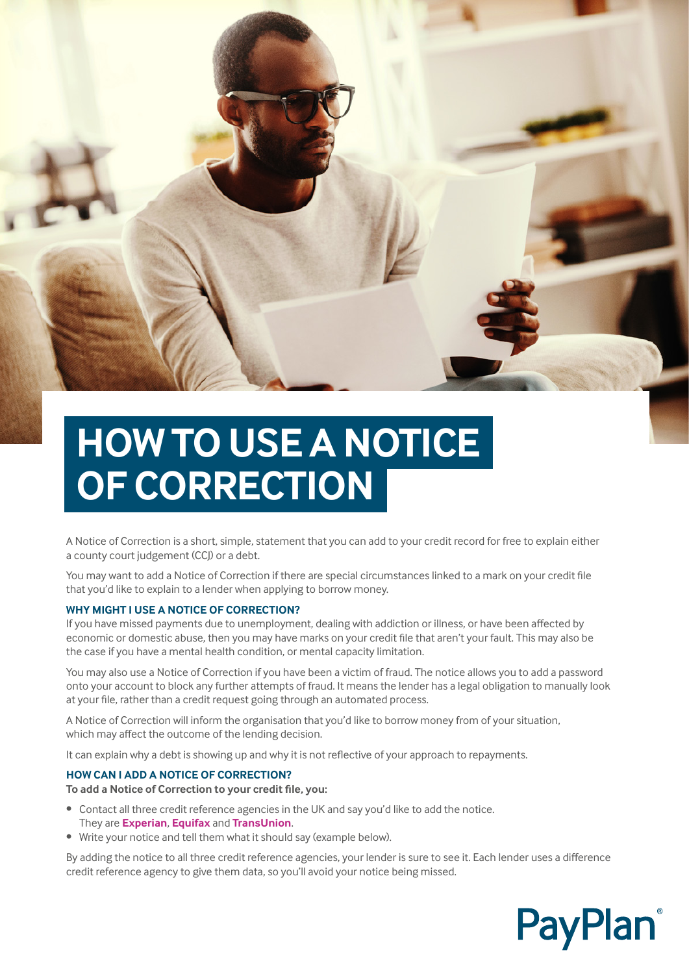

# **HOW TO USE A NOTICE OF CORRECTION**

A Notice of Correction is a short, simple, statement that you can add to your credit record for free to explain either a county court judgement (CCJ) or a debt.

You may want to add a Notice of Correction if there are special circumstances linked to a mark on your credit file that you'd like to explain to a lender when applying to borrow money.

# **WHY MIGHT I USE A NOTICE OF CORRECTION?**

If you have missed payments due to unemployment, dealing with addiction or illness, or have been affected by economic or domestic abuse, then you may have marks on your credit file that aren't your fault. This may also be the case if you have a mental health condition, or mental capacity limitation.

You may also use a Notice of Correction if you have been a victim of fraud. The notice allows you to add a password onto your account to block any further attempts of fraud. It means the lender has a legal obligation to manually look at your file, rather than a credit request going through an automated process.

A Notice of Correction will inform the organisation that you'd like to borrow money from of your situation, which may affect the outcome of the lending decision.

It can explain why a debt is showing up and why it is not reflective of your approach to repayments.

## **HOW CAN I ADD A NOTICE OF CORRECTION?**

**To add a Notice of Correction to your credit file, you:**

- Contact all three credit reference agencies in the UK and say you'd like to add the notice. They are **[Experian](https://www.experian.co.uk)**, **[Equifax](https://www.equifax.co.uk)** and **[TransUnion](https://www.transunion.co.uk)**.
- Write your notice and tell them what it should say (example below).

By adding the notice to all three credit reference agencies, your lender is sure to see it. Each lender uses a difference credit reference agency to give them data, so you'll avoid your notice being missed.